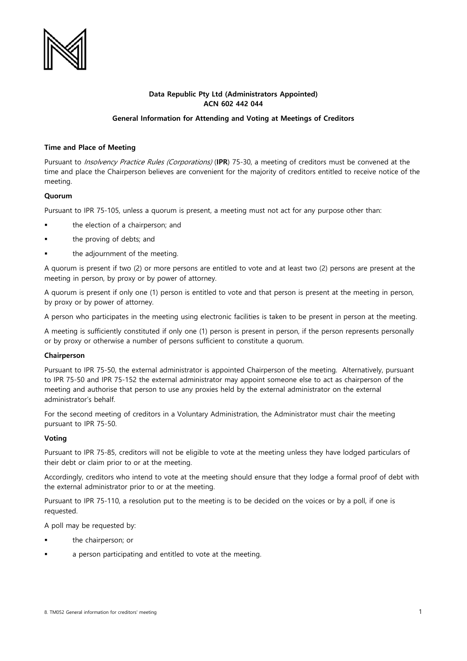

# **Data Republic Pty Ltd (Administrators Appointed) ACN 602 442 044**

## **General Information for Attending and Voting at Meetings of Creditors**

## **Time and Place of Meeting**

Pursuant to Insolvency Practice Rules (Corporations) (**IPR**) 75-30, a meeting of creditors must be convened at the time and place the Chairperson believes are convenient for the majority of creditors entitled to receive notice of the meeting.

#### **Quorum**

Pursuant to IPR 75-105, unless a quorum is present, a meeting must not act for any purpose other than:

- the election of a chairperson; and
- the proving of debts; and
- the adjournment of the meeting.

A quorum is present if two (2) or more persons are entitled to vote and at least two (2) persons are present at the meeting in person, by proxy or by power of attorney.

A quorum is present if only one (1) person is entitled to vote and that person is present at the meeting in person, by proxy or by power of attorney.

A person who participates in the meeting using electronic facilities is taken to be present in person at the meeting.

A meeting is sufficiently constituted if only one (1) person is present in person, if the person represents personally or by proxy or otherwise a number of persons sufficient to constitute a quorum.

#### **Chairperson**

Pursuant to IPR 75-50, the external administrator is appointed Chairperson of the meeting. Alternatively, pursuant to IPR 75-50 and IPR 75-152 the external administrator may appoint someone else to act as chairperson of the meeting and authorise that person to use any proxies held by the external administrator on the external administrator's behalf.

For the second meeting of creditors in a Voluntary Administration, the Administrator must chair the meeting pursuant to IPR 75-50.

#### **Voting**

Pursuant to IPR 75-85, creditors will not be eligible to vote at the meeting unless they have lodged particulars of their debt or claim prior to or at the meeting.

Accordingly, creditors who intend to vote at the meeting should ensure that they lodge a formal proof of debt with the external administrator prior to or at the meeting.

Pursuant to IPR 75-110, a resolution put to the meeting is to be decided on the voices or by a poll, if one is requested.

A poll may be requested by:

- the chairperson; or
- a person participating and entitled to vote at the meeting.